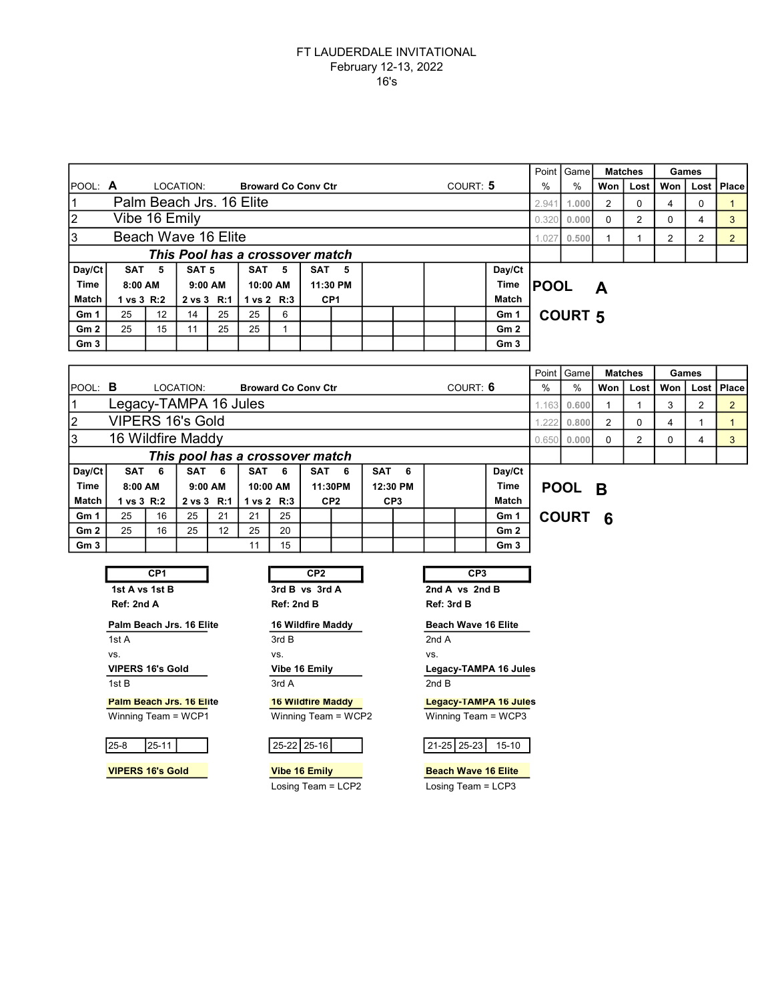|                 |                                                     |                 |                         |    |                                 |                            |                       |          |            |                             |                      |                 |                       | Point            | Game                  |                | <b>Matches</b>         |                | Games          |                |  |  |  |  |
|-----------------|-----------------------------------------------------|-----------------|-------------------------|----|---------------------------------|----------------------------|-----------------------|----------|------------|-----------------------------|----------------------|-----------------|-----------------------|------------------|-----------------------|----------------|------------------------|----------------|----------------|----------------|--|--|--|--|
| POOL: $\bm{A}$  |                                                     |                 | LOCATION:               |    |                                 | <b>Broward Co Conv Ctr</b> |                       |          |            |                             |                      | COURT: 5        |                       | $\frac{0}{0}$    | $\%$                  | Won            | Lost                   | Won            | Lost           | Place          |  |  |  |  |
| $\mathbf{1}$    | Palm Beach Jrs. 16 Elite                            |                 |                         |    |                                 |                            |                       |          |            |                             |                      |                 |                       | 2.941            | 1.000                 | $\overline{2}$ | 0                      | $\overline{4}$ | $\mathbf 0$    | $\mathbf{1}$   |  |  |  |  |
| $\overline{2}$  | Vibe 16 Emily                                       |                 |                         |    |                                 |                            |                       |          |            |                             |                      |                 |                       | 0.320            | 0.000                 | $\Omega$       | $\overline{2}$         | $\Omega$       | 4              | 3              |  |  |  |  |
| 3               | Beach Wave 16 Elite                                 |                 |                         |    |                                 |                            |                       |          |            |                             |                      |                 |                       | 1.027            | 0.500                 | 1              | $\mathbf{1}$           | 2              | $\overline{2}$ | $\overline{2}$ |  |  |  |  |
|                 |                                                     |                 |                         |    | This Pool has a crossover match |                            |                       |          |            |                             |                      |                 |                       |                  |                       |                |                        |                |                |                |  |  |  |  |
| Day/Ct          | SAT <sub>5</sub>                                    |                 | SAT <sub>5</sub>        |    | <b>SAT</b>                      | 5                          | SAT <sub>5</sub>      |          |            |                             |                      |                 | Day/Ct                |                  |                       |                |                        |                |                |                |  |  |  |  |
| <b>Time</b>     | 8:00 AM                                             |                 | 9:00 AM                 |    |                                 | 10:00 AM                   |                       | 11:30 PM |            |                             |                      |                 | <b>Time</b>           | <b>POOL</b><br>A |                       |                |                        |                |                |                |  |  |  |  |
| Match           | 1 vs 3 R:2                                          |                 | 2 vs 3 R:1              |    | 1 vs 2 R:3                      |                            | CP <sub>1</sub>       |          |            |                             | Match                |                 |                       |                  |                       |                |                        |                |                |                |  |  |  |  |
| Gm 1            | 25<br>12<br>14<br>25<br>25<br>6                     |                 |                         |    |                                 |                            |                       |          |            |                             |                      |                 | Gm 1                  | <b>COURT 5</b>   |                       |                |                        |                |                |                |  |  |  |  |
| Gm <sub>2</sub> | 25<br>25<br>25<br>15<br>11<br>1                     |                 |                         |    |                                 |                            |                       |          |            |                             |                      |                 | Gm <sub>2</sub>       |                  |                       |                |                        |                |                |                |  |  |  |  |
| Gm <sub>3</sub> | Gm <sub>3</sub>                                     |                 |                         |    |                                 |                            |                       |          |            |                             |                      |                 |                       |                  |                       |                |                        |                |                |                |  |  |  |  |
|                 |                                                     |                 |                         |    |                                 |                            |                       |          |            |                             |                      |                 |                       |                  |                       |                |                        |                |                |                |  |  |  |  |
| POOL: B         | COURT: 6<br>LOCATION:<br><b>Broward Co Conv Ctr</b> |                 |                         |    |                                 |                            |                       |          |            |                             |                      |                 |                       | Point<br>$\%$    | Game<br>$\frac{0}{0}$ | Won            | <b>Matches</b><br>Lost | Won            | Games<br>Lost  | Place          |  |  |  |  |
| $\mathbf 1$     | Legacy-TAMPA 16 Jules                               |                 |                         |    |                                 |                            |                       |          |            |                             |                      |                 |                       | 0.600            |                       |                | 3                      | $\overline{2}$ |                |                |  |  |  |  |
| $\overline{2}$  | <b>VIPERS 16's Gold</b>                             |                 |                         |    |                                 |                            |                       |          |            |                             |                      |                 |                       | 1.163            |                       | 1              | $\mathbf{1}$           |                |                | $\overline{a}$ |  |  |  |  |
| 3               | 16 Wildfire Maddy                                   |                 |                         |    |                                 |                            |                       |          |            |                             |                      |                 |                       | 1.222            | 0.800                 | $\overline{2}$ | 0                      | 4              | $\mathbf{1}$   | $\mathbf{1}$   |  |  |  |  |
|                 |                                                     |                 |                         |    |                                 |                            |                       |          |            |                             |                      |                 |                       | 0.650            | 0.000                 | 0              | $\overline{2}$         | 0              | 4              | 3              |  |  |  |  |
|                 |                                                     |                 |                         |    | This pool has a crossover match |                            |                       |          |            |                             |                      |                 |                       |                  |                       |                |                        |                |                |                |  |  |  |  |
| Day/Ct<br>Time  | SAT 6<br>$8:00$ AM                                  |                 | <b>SAT</b><br>$9:00$ AM | 6  | SAT                             | 6<br>10:00 AM              | <b>SAT</b><br>11:30PM | 6        | SAT        | 6                           |                      |                 | Day/Ct                |                  |                       |                |                        |                |                |                |  |  |  |  |
| Match           | 1 vs 3 R:2                                          |                 | 2 vs 3 R:1              |    | 1 vs 2 R:3                      |                            | CP <sub>2</sub>       |          |            | 12:30 PM<br>CP <sub>3</sub> | Time<br><b>Match</b> |                 |                       |                  | <b>POOL</b>           | <b>B</b>       |                        |                |                |                |  |  |  |  |
| Gm 1            | 25                                                  | 16              | 25                      | 21 | 21                              | 25                         |                       |          |            |                             |                      |                 | Gm 1                  |                  | <b>COURT</b>          | 6              |                        |                |                |                |  |  |  |  |
| Gm <sub>2</sub> | 25                                                  | 16              | 25                      | 12 | 25                              | 20                         |                       |          |            |                             |                      |                 | Gm <sub>2</sub>       |                  |                       |                |                        |                |                |                |  |  |  |  |
| Gm <sub>3</sub> |                                                     |                 |                         |    | 11                              | 15                         |                       |          |            |                             |                      |                 | Gm <sub>3</sub>       |                  |                       |                |                        |                |                |                |  |  |  |  |
|                 |                                                     |                 |                         |    |                                 |                            |                       |          |            |                             |                      |                 |                       |                  |                       |                |                        |                |                |                |  |  |  |  |
|                 |                                                     | CP <sub>1</sub> |                         |    |                                 |                            | CP <sub>2</sub>       |          |            |                             |                      | CP <sub>3</sub> |                       |                  |                       |                |                        |                |                |                |  |  |  |  |
|                 | 1st A vs 1st B                                      |                 |                         |    |                                 |                            | 3rd B vs 3rd A        |          |            |                             |                      | 2nd A vs 2nd B  |                       |                  |                       |                |                        |                |                |                |  |  |  |  |
|                 | Ref: 2nd A                                          |                 | Ref: 2nd B              |    |                                 |                            |                       |          | Ref: 3rd B |                             |                      |                 |                       |                  |                       |                |                        |                |                |                |  |  |  |  |
|                 | Palm Beach Jrs. 16 Elite                            |                 | 16 Wildfire Maddy       |    |                                 |                            |                       |          |            | <b>Beach Wave 16 Elite</b>  |                      |                 |                       |                  |                       |                |                        |                |                |                |  |  |  |  |
|                 | 1st A                                               |                 | 3rd B                   |    |                                 |                            |                       |          |            |                             |                      |                 |                       |                  |                       |                |                        |                |                |                |  |  |  |  |
|                 | VS.                                                 |                 | VS.                     |    |                                 |                            |                       |          |            |                             |                      |                 |                       |                  |                       |                |                        |                |                |                |  |  |  |  |
|                 | <b>VIPERS 16's Gold</b>                             |                 |                         |    |                                 | Vibe 16 Emily              |                       |          |            |                             |                      |                 | Legacy-TAMPA 16 Jules |                  |                       |                |                        |                |                |                |  |  |  |  |
|                 | 1st B                                               |                 |                         |    |                                 | 3rd A                      |                       |          |            |                             | 2ndB                 |                 |                       |                  |                       |                |                        |                |                |                |  |  |  |  |

Winning Team = WCP1 Winning Team = WCP2 Winning Team = WCP3

Palm Beach Jrs. 16 Elite 16 Wildfire Maddy Legacy-TAMPA 16 Jules

 $25-22$   $25-16$   $21-25$   $25-23$  15-10

VIPERS 16's Gold Vibe 16 Emily Beach Wave 16 Elite Losing Team = LCP2 Losing Team = LCP3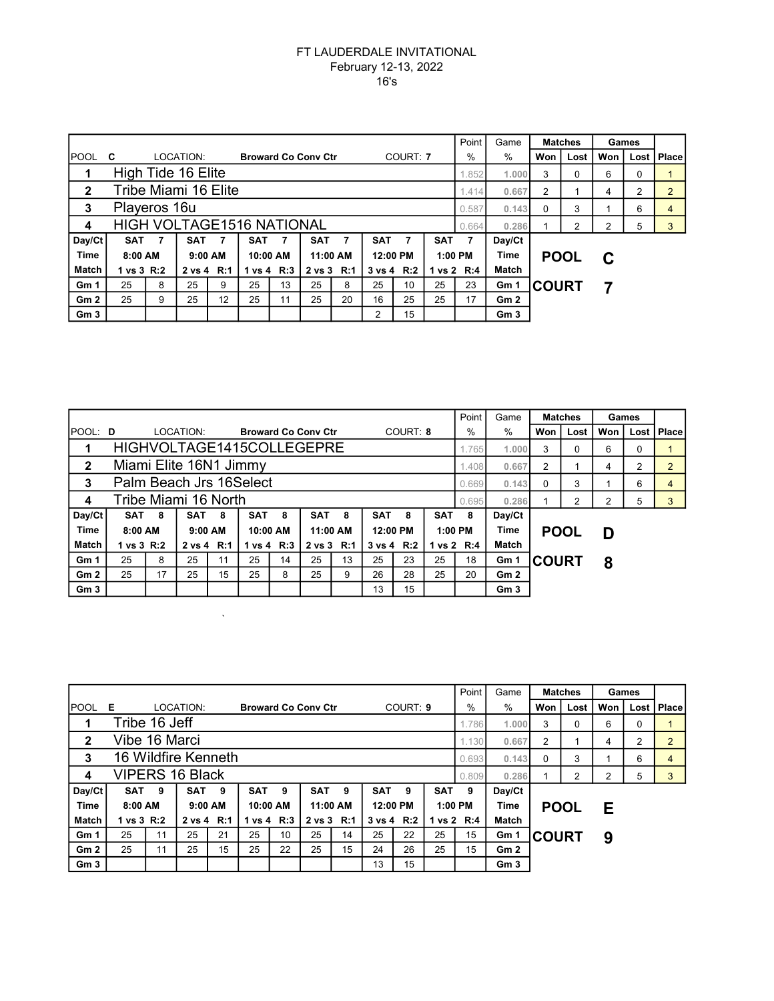|                 |                                  |       |            |                 |                            |    |                |                |                       |                       |            | Point | Game                |              | <b>Matches</b> | Games |      |                |
|-----------------|----------------------------------|-------|------------|-----------------|----------------------------|----|----------------|----------------|-----------------------|-----------------------|------------|-------|---------------------|--------------|----------------|-------|------|----------------|
| <b>IPOOL</b>    | C                                |       | LOCATION:  |                 | <b>Broward Co Conv Ctr</b> |    |                |                |                       | COURT: 7              |            | $\%$  | $\%$                | Won          | Lost           | Won   | Lost | <b>I</b> Place |
| 1               | High Tide 16 Elite               | .852  | 1.000      | 3               | $\Omega$                   | 6  | 0              |                |                       |                       |            |       |                     |              |                |       |      |                |
| $\mathbf{2}$    | Tribe Miami 16 Elite             | 1.414 | 0.667      | $\overline{2}$  |                            | 4  | $\overline{2}$ | $\overline{2}$ |                       |                       |            |       |                     |              |                |       |      |                |
| 3               | Playeros 16u<br>0.587            |       |            |                 |                            |    |                |                |                       |                       |            |       |                     | 0.143<br>0   | 3              |       | 6    | 4              |
| 4               | <b>HIGH VOLTAGE1516 NATIONAL</b> |       |            |                 |                            |    |                |                |                       |                       |            |       | 0.286               |              | 2              | 2     | 5    | 3              |
| Day/Ct          | <b>SAT</b>                       | 7     | <b>SAT</b> | $\overline{7}$  | <b>SAT</b>                 | 7  | <b>SAT</b>     | 7              | <b>SAT</b>            | 7                     | <b>SAT</b> | 7     | Day/Ct              |              |                |       |      |                |
| <b>Time</b>     | $8:00$ AM                        |       | $9:00$ AM  |                 | 10:00 AM                   |    | 11:00 AM       |                | 12:00 PM<br>$1:00$ PM |                       |            |       | Time<br><b>POOL</b> |              |                | C     |      |                |
| Match           | 1 vs 3 R:2                       |       | 2 vs 4 R:1 |                 | 1 vs 4 $R:3$               |    | 2 vs 3 R:1     |                |                       | $3 \text{ vs } 4$ R:2 | 1 vs 2 R:4 |       | Match               |              |                |       |      |                |
| Gm 1            | 25                               | 8     | 25         | 9               | 25                         | 13 | 25             | 8              | 25                    | 10                    | 25         | 23    | Gm 1                | <b>COURT</b> |                |       |      |                |
| Gm2             | 25                               | 9     | 25         | 12 <sup>2</sup> | 25                         | 11 | 25             | 20             | 16                    | 25                    | 25         | 17    | Gm2                 |              |                |       |      |                |
| Gm <sub>3</sub> |                                  |       |            |                 |                            |    |                |                | 2                     | 15                    |            |       | Gm <sub>3</sub>     |              |                |       |      |                |

|                 | Point                     |                       |            |    |                            |            |            |          |            |                       |            |               |                 |              | <b>Matches</b> | Games          |      |                |
|-----------------|---------------------------|-----------------------|------------|----|----------------------------|------------|------------|----------|------------|-----------------------|------------|---------------|-----------------|--------------|----------------|----------------|------|----------------|
| POOL: D         |                           |                       | LOCATION:  |    | <b>Broward Co Conv Ctr</b> |            |            |          |            | COURT: 8              |            | $\frac{0}{0}$ | $\%$            | Won          | Lost           | Won            | Lost | <b>Place</b>   |
|                 | HIGHVOLTAGE1415COLLEGEPRE |                       |            |    |                            |            |            |          |            |                       |            |               | 1.000           | 3            | 0              | 6              | 0    |                |
| $\mathbf{2}$    | Miami Elite 16N1 Jimmy    |                       |            |    |                            |            |            |          |            |                       |            |               | 0.667           | 2            |                | 4              | 2    | $\overline{2}$ |
| 3               | Palm Beach Jrs 16Select   |                       |            |    |                            |            |            |          |            |                       |            |               | 0.143           | $\Omega$     | 3              |                | 6    | 4              |
| 4               | Tribe Miami 16 North      |                       |            |    |                            |            |            |          |            |                       |            | 0.695         | 0.286           |              | 2              | $\overline{2}$ | 5    | 3              |
| Day/Ct          | SAT                       | 8                     | SAT        | -8 | <b>SAT</b>                 | 8          | <b>SAT</b> | 8        | <b>SAT</b> | 8                     | <b>SAT</b> | 8             | Day/Ct          |              |                |                |      |                |
| <b>Time</b>     | 8:00 AM                   |                       | $9:00$ AM  |    | 10:00 AM                   |            |            | 11:00 AM |            | $1:00$ PM<br>12:00 PM |            |               | Time            | <b>POOL</b>  |                | D              |      |                |
| <b>Match</b>    | 1 vs 3 R:2                | $1 \text{ vs } 4$ R:3 | 2 vs 3 R:1 |    |                            | 3 vs 4 R:2 | 1 vs 2 R:4 |          | Match      |                       |            |               |                 |              |                |                |      |                |
| Gm <sub>1</sub> | 25                        | 8                     | 25         | 11 | 25                         | 14         | 25         | 13       | 25         | 23                    | 25         | 18            | Gm 1            | <b>COURT</b> |                | 8              |      |                |
| Gm <sub>2</sub> | 25                        | 17                    | 25         | 15 | 25                         | 8          | 25         | 9        | 26         | 28                    | 25         | 20            | Gm2             |              |                |                |      |                |
| Gm <sub>3</sub> |                           |                       |            |    |                            |            |            |          | 13         | 15                    |            |               | Gm <sub>3</sub> |              |                |                |      |                |

 $\sim$ 

|                 |                     |                                          |           |    |                            |    |            |    |          |            | Point      | Game       |                 | <b>Matches</b> |      | Games |        |                |
|-----------------|---------------------|------------------------------------------|-----------|----|----------------------------|----|------------|----|----------|------------|------------|------------|-----------------|----------------|------|-------|--------|----------------|
| POOL            | Е                   |                                          | LOCATION: |    | <b>Broward Co Conv Ctr</b> |    |            |    |          | COURT: 9   |            | $\%$       | $\frac{0}{0}$   | Won            | Lost | Won   | Lost I | l Place        |
|                 | Tribe 16 Jeff       |                                          |           |    |                            |    |            |    |          |            |            | 1.786      | 1.000           | 3              | 0    | 6     | 0      |                |
| $\mathbf{2}$    | Vibe 16 Marci       |                                          |           |    |                            |    |            |    |          |            |            | 1.130      | 0.667           | 2              |      | 4     | 2      | $\overline{2}$ |
| 3               | 16 Wildfire Kenneth |                                          |           |    |                            |    |            |    |          |            |            | 0.693      | 0.143           | 0              | 3    |       | 6      | 4              |
| 4               | VIPERS 16 Black     |                                          |           |    |                            |    |            |    |          |            |            | 0.809      | 0.286           |                | 2    | 2     | 5      | 3              |
| Day/Ct          | SAT                 | 9                                        | SAT       | 9  | SAT                        | 9  | <b>SAT</b> | 9  | SAT      | 9          | <b>SAT</b> | 9          | Day/Ct          |                |      |       |        |                |
| <b>Time</b>     | 8:00 AM             |                                          | $9:00$ AM |    | 10:00 AM                   |    | 11:00 AM   |    | 12:00 PM |            |            | $1:00$ PM  | Time            | <b>POOL</b>    |      | E     |        |                |
| Match           | 1 vs 3 R:2          | 2 vs 4 R:1<br>1 vs 4 $R:3$<br>2 vs 3 R:1 |           |    |                            |    |            |    |          | 3 vs 4 R:2 |            | 1 vs 2 R:4 | Match           |                |      |       |        |                |
| Gm 1            | 25                  | 11                                       | 25        | 21 | 25                         | 10 | 25         | 14 | 25       | 22         | 25         | 15         | Gm 1            | <b>COURT</b>   |      | 9     |        |                |
| Gm2             | 25                  | 11                                       | 25        | 15 | 25                         | 22 | 25         | 15 | 24       | 26         | 25         | 15         | Gm2             |                |      |       |        |                |
| Gm <sub>3</sub> |                     |                                          |           |    |                            |    |            |    | 13       | 15         |            |            | Gm <sub>3</sub> |                |      |       |        |                |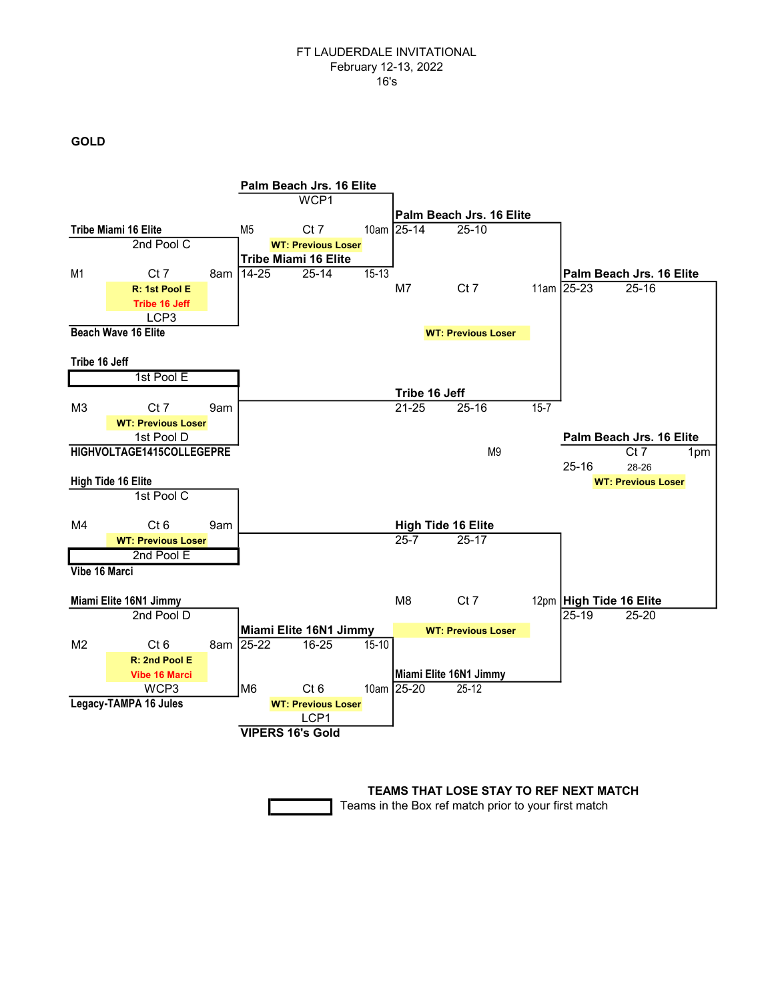GOLD



TEAMS THAT LOSE STAY TO REF NEXT MATCH

Teams in the Box ref match prior to your first match